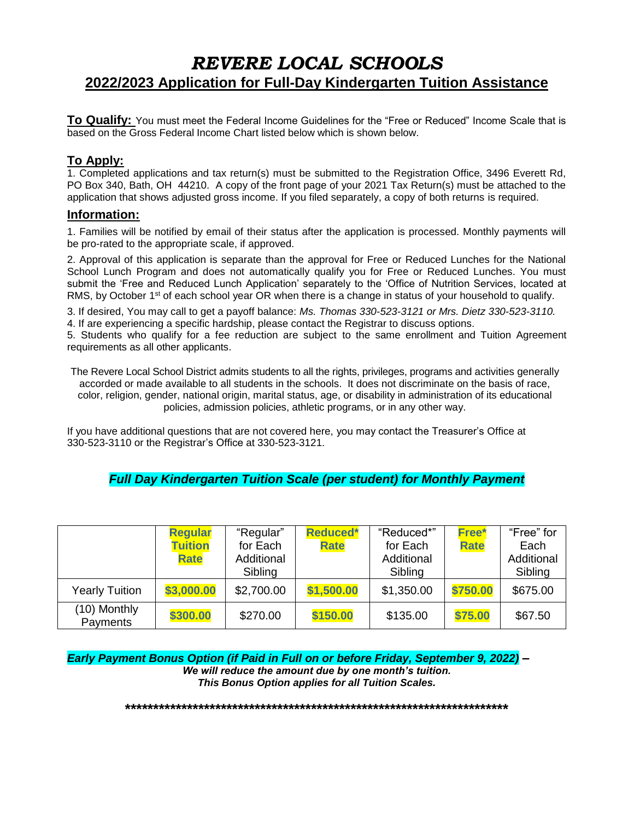# *REVERE LOCAL SCHOOLS* **2022/2023 Application for Full-Day Kindergarten Tuition Assistance**

**To Qualify:** You must meet the Federal Income Guidelines for the "Free or Reduced" Income Scale that is based on the Gross Federal Income Chart listed below which is shown below.

#### **To Apply:**

1. Completed applications and tax return(s) must be submitted to the Registration Office, 3496 Everett Rd, PO Box 340, Bath, OH 44210. A copy of the front page of your 2021 Tax Return(s) must be attached to the application that shows adjusted gross income. If you filed separately, a copy of both returns is required.

#### **Information:**

1. Families will be notified by email of their status after the application is processed. Monthly payments will be pro-rated to the appropriate scale, if approved.

2. Approval of this application is separate than the approval for Free or Reduced Lunches for the National School Lunch Program and does not automatically qualify you for Free or Reduced Lunches. You must submit the 'Free and Reduced Lunch Application' separately to the 'Office of Nutrition Services, located at RMS, by October 1<sup>st</sup> of each school year OR when there is a change in status of your household to qualify.

3. If desired, You may call to get a payoff balance: *Ms. Thomas 330-523-3121 or Mrs. Dietz 330-523-3110.* 4. If are experiencing a specific hardship, please contact the Registrar to discuss options.

5. Students who qualify for a fee reduction are subject to the same enrollment and Tuition Agreement requirements as all other applicants.

The Revere Local School District admits students to all the rights, privileges, programs and activities generally accorded or made available to all students in the schools. It does not discriminate on the basis of race, color, religion, gender, national origin, marital status, age, or disability in administration of its educational policies, admission policies, athletic programs, or in any other way.

If you have additional questions that are not covered here, you may contact the Treasurer's Office at 330-523-3110 or the Registrar's Office at 330-523-3121.

#### *Full Day Kindergarten Tuition Scale (per student) for Monthly Payment*

|                          | <b>Regular</b><br><b>Tuition</b><br><b>Rate</b> | "Regular"<br>for Each<br>Additional<br>Sibling | <b>Reduced*</b><br><b>Rate</b> | "Reduced*"<br>for Each<br>Additional<br>Sibling | Free*<br><b>Rate</b> | "Free" for<br>Each<br>Additional<br>Sibling |
|--------------------------|-------------------------------------------------|------------------------------------------------|--------------------------------|-------------------------------------------------|----------------------|---------------------------------------------|
| <b>Yearly Tuition</b>    | \$3,000.00                                      | \$2,700.00                                     | \$1,500.00                     | \$1,350.00                                      | \$750.00             | \$675.00                                    |
| (10) Monthly<br>Payments | \$300.00                                        | \$270.00                                       | \$150.00                       | \$135.00                                        | \$75.00              | \$67.50                                     |

*Early Payment Bonus Option (if Paid in Full on or before Friday, September 9, 2022) – We will reduce the amount due by one month's tuition. This Bonus Option applies for all Tuition Scales.* 

**\*\*\*\*\*\*\*\*\*\*\*\*\*\*\*\*\*\*\*\*\*\*\*\*\*\*\*\*\*\*\*\*\*\*\*\*\*\*\*\*\*\*\*\*\*\*\*\*\*\*\*\*\*\*\*\*\*\*\*\*\*\*\*\*\*\*\*\***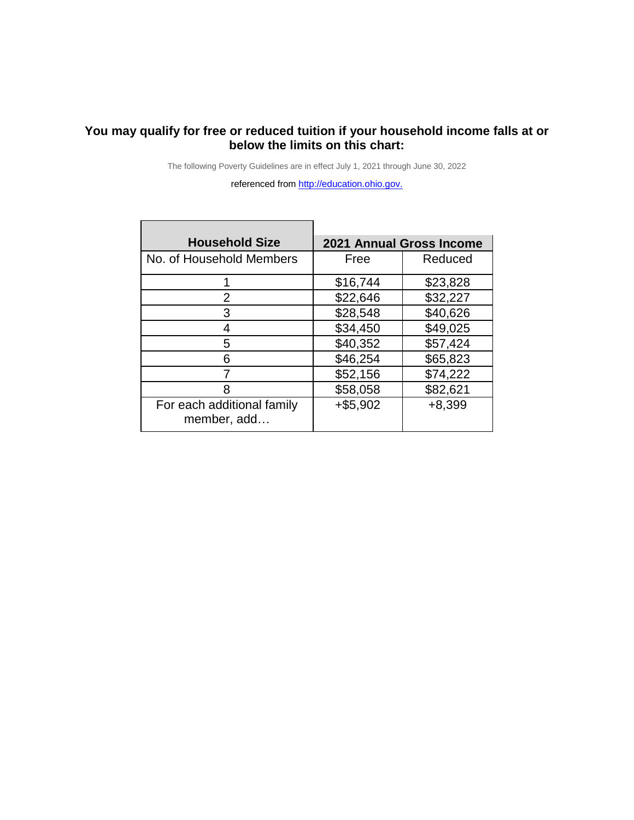### **You may qualify for free or reduced tuition if your household income falls at or below the limits on this chart:**

The following Poverty Guidelines are in effect July 1, 2021 through June 30, 2022

referenced from [http://education.ohio.gov.](http://education.ohio.gov/)

| <b>Household Size</b>                     | <b>2021 Annual Gross Income</b> |          |  |  |  |  |  |  |  |  |
|-------------------------------------------|---------------------------------|----------|--|--|--|--|--|--|--|--|
| No. of Household Members                  | Free                            | Reduced  |  |  |  |  |  |  |  |  |
|                                           | \$16,744                        | \$23,828 |  |  |  |  |  |  |  |  |
| 2                                         | \$22,646                        | \$32,227 |  |  |  |  |  |  |  |  |
| 3                                         | \$28,548                        | \$40,626 |  |  |  |  |  |  |  |  |
| 4                                         | \$34,450                        | \$49,025 |  |  |  |  |  |  |  |  |
| 5                                         | \$40,352                        | \$57,424 |  |  |  |  |  |  |  |  |
| 6                                         | \$46,254                        | \$65,823 |  |  |  |  |  |  |  |  |
| 7                                         | \$52,156                        | \$74,222 |  |  |  |  |  |  |  |  |
| 8                                         | \$58,058                        | \$82,621 |  |  |  |  |  |  |  |  |
| For each additional family<br>member, add | $+ $5,902$                      | $+8,399$ |  |  |  |  |  |  |  |  |